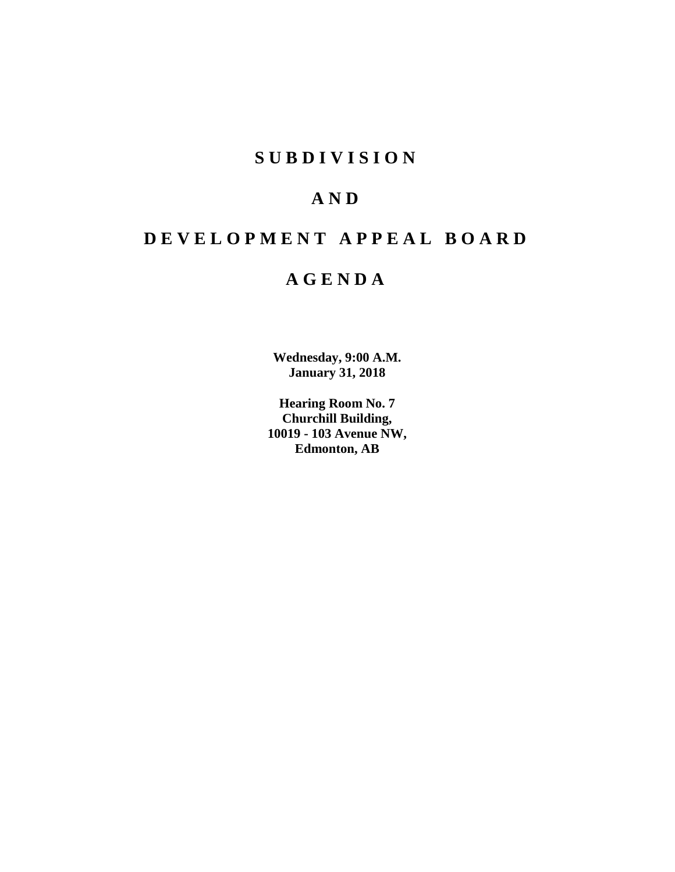# **SUBDIVISION**

# **AND**

# **DEVELOPMENT APPEAL BOARD**

# **AGENDA**

**Wednesday, 9:00 A.M. January 31, 2018**

**Hearing Room No. 7 Churchill Building, 10019 - 103 Avenue NW, Edmonton, AB**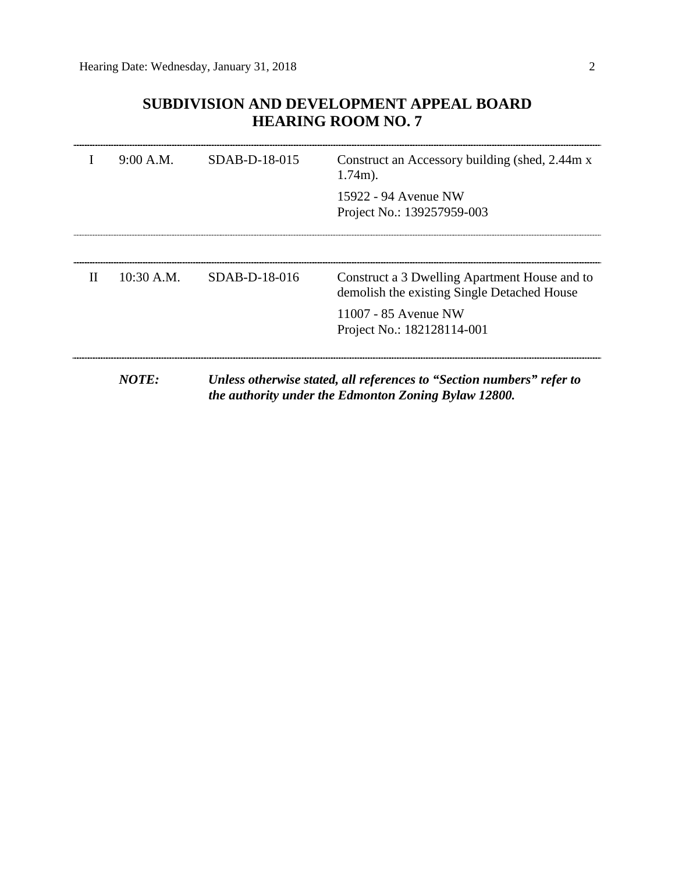# **SUBDIVISION AND DEVELOPMENT APPEAL BOARD HEARING ROOM NO. 7**

|   | 9:00 A.M.    | $SDAB-D-18-015$ | Construct an Accessory building (shed, 2.44m x)<br>$1.74m$ ).                                                                 |
|---|--------------|-----------------|-------------------------------------------------------------------------------------------------------------------------------|
|   |              |                 | 15922 - 94 Avenue NW<br>Project No.: 139257959-003                                                                            |
|   |              |                 |                                                                                                                               |
| H | $10:30$ A.M. | $SDAB-D-18-016$ | Construct a 3 Dwelling Apartment House and to<br>demolish the existing Single Detached House                                  |
|   |              |                 | 11007 - 85 Avenue NW<br>Project No.: 182128114-001                                                                            |
|   |              |                 |                                                                                                                               |
|   | NOTE:        |                 | Unless otherwise stated, all references to "Section numbers" refer to<br>the authority under the Edmonton Zoning Bylaw 12800. |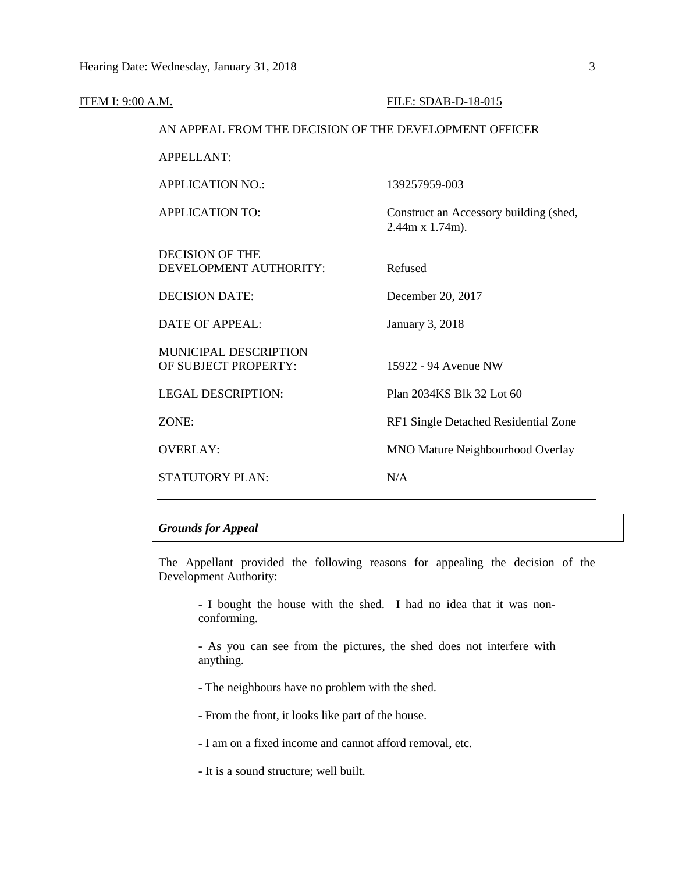| <b>ITEM I: 9:00 A.M.</b> |                                                        | FILE: SDAB-D-18-015                                               |
|--------------------------|--------------------------------------------------------|-------------------------------------------------------------------|
|                          | AN APPEAL FROM THE DECISION OF THE DEVELOPMENT OFFICER |                                                                   |
|                          | <b>APPELLANT:</b>                                      |                                                                   |
|                          | <b>APPLICATION NO.:</b>                                | 139257959-003                                                     |
|                          | <b>APPLICATION TO:</b>                                 | Construct an Accessory building (shed,<br>$2.44m \times 1.74m$ ). |
|                          | <b>DECISION OF THE</b><br>DEVELOPMENT AUTHORITY:       | Refused                                                           |
|                          | <b>DECISION DATE:</b>                                  | December 20, 2017                                                 |
|                          | <b>DATE OF APPEAL:</b>                                 | January 3, 2018                                                   |
|                          | MUNICIPAL DESCRIPTION<br>OF SUBJECT PROPERTY:          | 15922 - 94 Avenue NW                                              |
|                          | <b>LEGAL DESCRIPTION:</b>                              | Plan 2034KS Blk 32 Lot 60                                         |
|                          | ZONE:                                                  | RF1 Single Detached Residential Zone                              |
|                          | <b>OVERLAY:</b>                                        | MNO Mature Neighbourhood Overlay                                  |
|                          | <b>STATUTORY PLAN:</b>                                 | N/A                                                               |
|                          |                                                        |                                                                   |

# *Grounds for Appeal*

The Appellant provided the following reasons for appealing the decision of the Development Authority:

- I bought the house with the shed. I had no idea that it was nonconforming.

- As you can see from the pictures, the shed does not interfere with anything.

- The neighbours have no problem with the shed.

- From the front, it looks like part of the house.

- I am on a fixed income and cannot afford removal, etc.

- It is a sound structure; well built.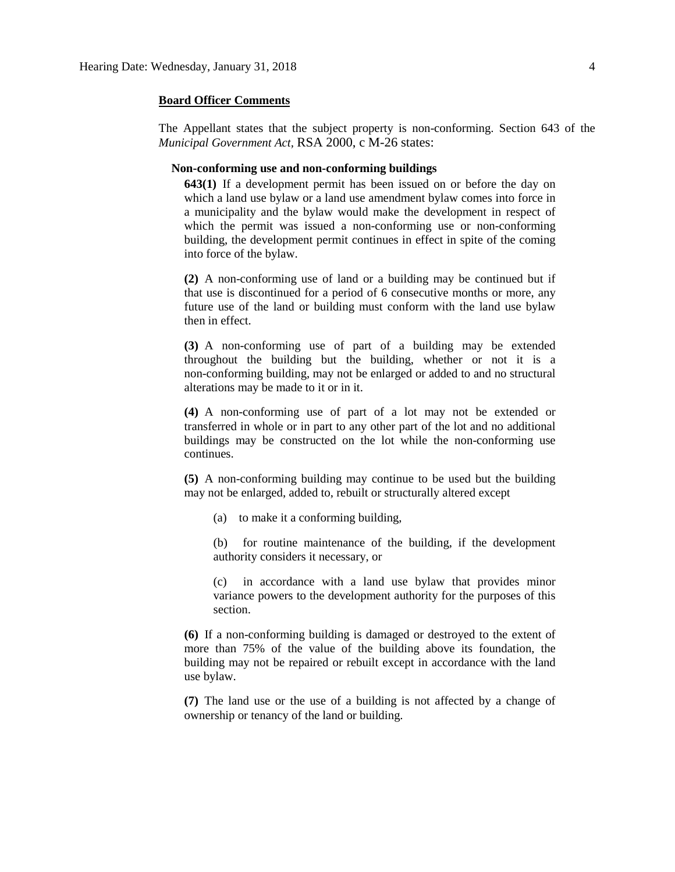### **Board Officer Comments**

The Appellant states that the subject property is non-conforming. Section 643 of the *Municipal Government Act,* RSA 2000, c M-26 states:

### **Non-conforming use and non-conforming buildings**

**643(1)** If a development permit has been issued on or before the day on which a land use bylaw or a land use amendment bylaw comes into force in a municipality and the bylaw would make the development in respect of which the permit was issued a non-conforming use or non-conforming building, the development permit continues in effect in spite of the coming into force of the bylaw.

**(2)** A non-conforming use of land or a building may be continued but if that use is discontinued for a period of 6 consecutive months or more, any future use of the land or building must conform with the land use bylaw then in effect.

**(3)** A non-conforming use of part of a building may be extended throughout the building but the building, whether or not it is a non-conforming building, may not be enlarged or added to and no structural alterations may be made to it or in it.

**(4)** A non-conforming use of part of a lot may not be extended or transferred in whole or in part to any other part of the lot and no additional buildings may be constructed on the lot while the non-conforming use continues.

**(5)** A non-conforming building may continue to be used but the building may not be enlarged, added to, rebuilt or structurally altered except

(a) to make it a conforming building,

(b) for routine maintenance of the building, if the development authority considers it necessary, or

(c) in accordance with a land use bylaw that provides minor variance powers to the development authority for the purposes of this section.

**(6)** If a non-conforming building is damaged or destroyed to the extent of more than 75% of the value of the building above its foundation, the building may not be repaired or rebuilt except in accordance with the land use bylaw.

**(7)** The land use or the use of a building is not affected by a change of ownership or tenancy of the land or building.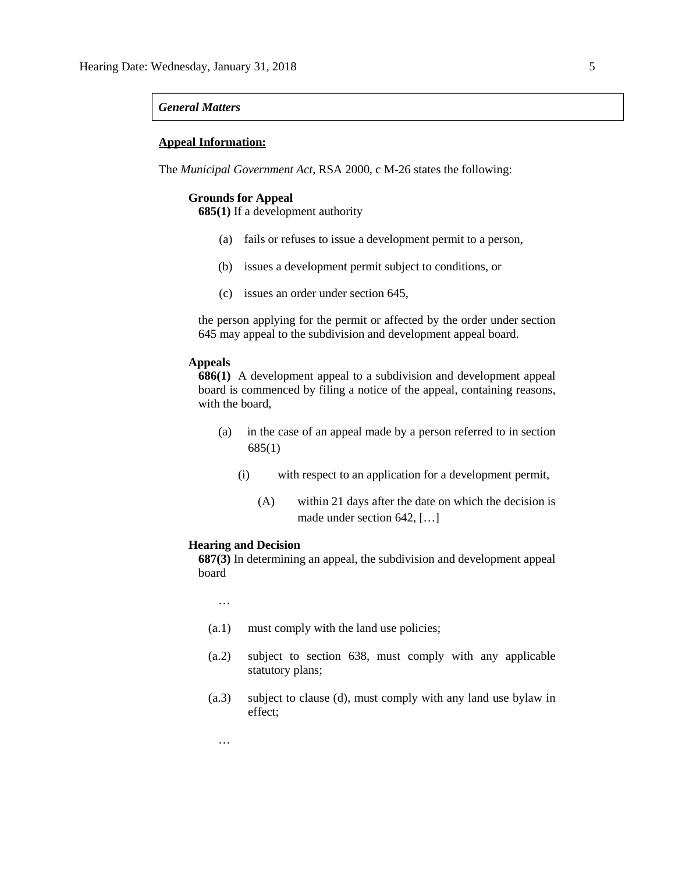## *General Matters*

# **Appeal Information:**

The *Municipal Government Act*, RSA 2000, c M-26 states the following:

### **Grounds for Appeal**

**685(1)** If a development authority

- (a) fails or refuses to issue a development permit to a person,
- (b) issues a development permit subject to conditions, or
- (c) issues an order under section 645,

the person applying for the permit or affected by the order under section 645 may appeal to the subdivision and development appeal board.

## **Appeals**

**686(1)** A development appeal to a subdivision and development appeal board is commenced by filing a notice of the appeal, containing reasons, with the board,

- (a) in the case of an appeal made by a person referred to in section 685(1)
	- (i) with respect to an application for a development permit,
		- (A) within 21 days after the date on which the decision is made under section 642, […]

# **Hearing and Decision**

**687(3)** In determining an appeal, the subdivision and development appeal board

…

…

- (a.1) must comply with the land use policies;
- (a.2) subject to section 638, must comply with any applicable statutory plans;
- (a.3) subject to clause (d), must comply with any land use bylaw in effect;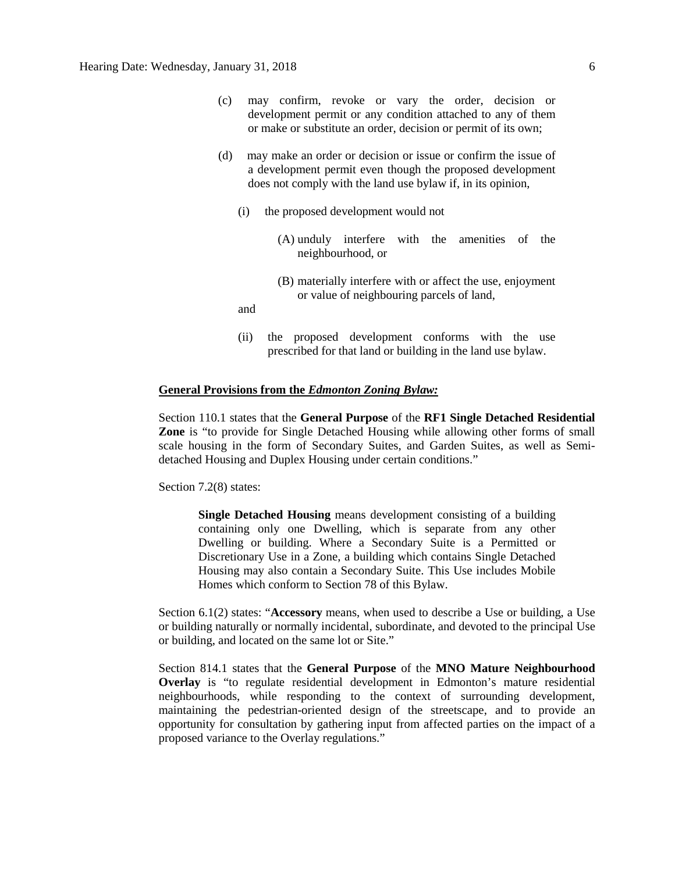- (c) may confirm, revoke or vary the order, decision or development permit or any condition attached to any of them or make or substitute an order, decision or permit of its own;
- (d) may make an order or decision or issue or confirm the issue of a development permit even though the proposed development does not comply with the land use bylaw if, in its opinion,
	- (i) the proposed development would not
		- (A) unduly interfere with the amenities of the neighbourhood, or
		- (B) materially interfere with or affect the use, enjoyment or value of neighbouring parcels of land,

and

(ii) the proposed development conforms with the use prescribed for that land or building in the land use bylaw.

## **General Provisions from the** *Edmonton Zoning Bylaw:*

Section 110.1 states that the **General Purpose** of the **RF1 Single Detached Residential Zone** is "to provide for Single Detached Housing while allowing other forms of small scale housing in the form of Secondary Suites, and Garden Suites, as well as Semidetached Housing and Duplex Housing under certain conditions."

Section 7.2(8) states:

**Single Detached Housing** means development consisting of a building containing only one Dwelling, which is separate from any other Dwelling or building. Where a Secondary Suite is a Permitted or Discretionary Use in a Zone, a building which contains Single Detached Housing may also contain a Secondary Suite. This Use includes Mobile Homes which conform to Section 78 of this Bylaw.

Section 6.1(2) states: "**Accessory** means, when used to describe a Use or building, a Use or building naturally or normally incidental, subordinate, and devoted to the principal Use or building, and located on the same lot or Site."

Section 814.1 states that the **General Purpose** of the **MNO Mature Neighbourhood Overlay** is "to regulate residential development in Edmonton's mature residential neighbourhoods, while responding to the context of surrounding development, maintaining the pedestrian-oriented design of the streetscape, and to provide an opportunity for consultation by gathering input from affected parties on the impact of a proposed variance to the Overlay regulations."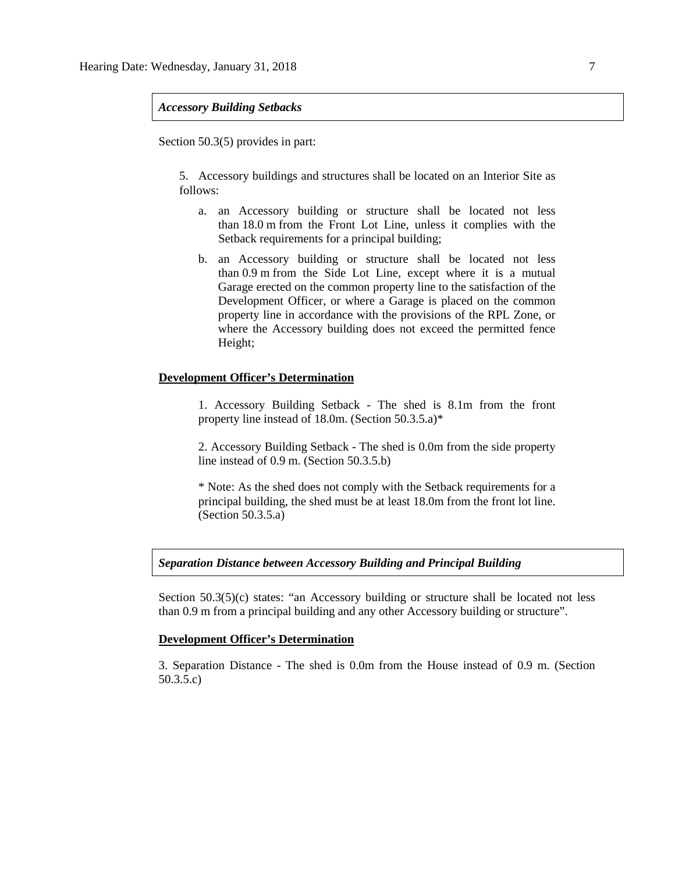# *Accessory Building Setbacks*

Section 50.3(5) provides in part:

5. Accessory buildings and structures shall be located on an Interior Site as follows:

- a. an Accessory building or structure shall be located not less than 18.0 m from the Front Lot Line, unless it complies with the Setback requirements for a principal building;
- b. an Accessory building or structure shall be located not less than 0.9 m from the Side Lot Line, except where it is a mutual Garage erected on the common property line to the satisfaction of the Development Officer, or where a Garage is placed on the common property line in accordance with the provisions of the RPL Zone, or where the Accessory building does not exceed the permitted fence Height;

# **Development Officer's Determination**

1. Accessory Building Setback - The shed is 8.1m from the front property line instead of 18.0m. (Section 50.3.5.a)\*

2. Accessory Building Setback - The shed is 0.0m from the side property line instead of 0.9 m. (Section 50.3.5.b)

\* Note: As the shed does not comply with the Setback requirements for a principal building, the shed must be at least 18.0m from the front lot line. (Section 50.3.5.a)

# *Separation Distance between Accessory Building and Principal Building*

Section 50.3(5)(c) states: "an Accessory building or structure shall be located not less than 0.9 m from a principal building and any other Accessory building or structure".

### **Development Officer's Determination**

3. Separation Distance - The shed is 0.0m from the House instead of 0.9 m. (Section 50.3.5.c)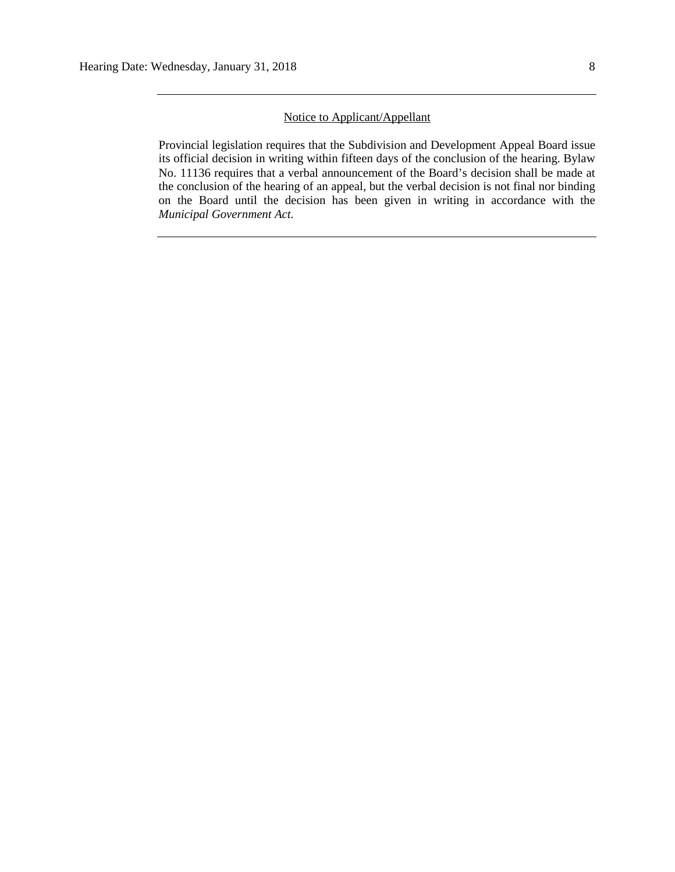# Notice to Applicant/Appellant

Provincial legislation requires that the Subdivision and Development Appeal Board issue its official decision in writing within fifteen days of the conclusion of the hearing. Bylaw No. 11136 requires that a verbal announcement of the Board's decision shall be made at the conclusion of the hearing of an appeal, but the verbal decision is not final nor binding on the Board until the decision has been given in writing in accordance with the *Municipal Government Act.*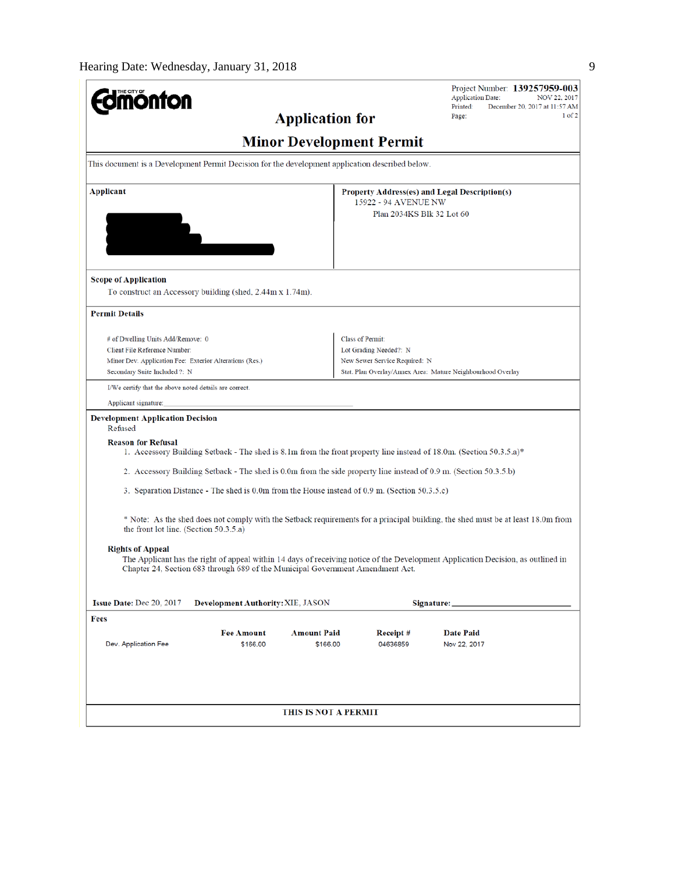| <b>Umönton</b>                                                                                                                                   | Project Number: 139257959-003<br><b>Application Date:</b><br>NOV 22, 2017                                                        |  |  |  |  |  |
|--------------------------------------------------------------------------------------------------------------------------------------------------|----------------------------------------------------------------------------------------------------------------------------------|--|--|--|--|--|
| <b>Application for</b>                                                                                                                           | Printed:<br>December 20, 2017 at 11:57 AM<br>$1$ of $2$<br>Page:                                                                 |  |  |  |  |  |
|                                                                                                                                                  | <b>Minor Development Permit</b>                                                                                                  |  |  |  |  |  |
| This document is a Development Permit Decision for the development application described below.                                                  |                                                                                                                                  |  |  |  |  |  |
| <b>Applicant</b><br>Property Address(es) and Legal Description(s)<br>15922 - 94 AVENUE NW                                                        |                                                                                                                                  |  |  |  |  |  |
|                                                                                                                                                  | Plan 2034KS Blk 32 Lot 60                                                                                                        |  |  |  |  |  |
|                                                                                                                                                  |                                                                                                                                  |  |  |  |  |  |
|                                                                                                                                                  |                                                                                                                                  |  |  |  |  |  |
| <b>Scope of Application</b>                                                                                                                      |                                                                                                                                  |  |  |  |  |  |
| To construct an Accessory building (shed, 2.44m x 1.74m).                                                                                        |                                                                                                                                  |  |  |  |  |  |
| <b>Permit Details</b>                                                                                                                            |                                                                                                                                  |  |  |  |  |  |
| # of Dwelling Units Add/Remove: 0                                                                                                                | <b>Class of Permit:</b>                                                                                                          |  |  |  |  |  |
| Client File Reference Number:                                                                                                                    | Lot Grading Needed?: N                                                                                                           |  |  |  |  |  |
| Minor Dev. Application Fee: Exterior Alterations (Res.)<br>Secondary Suite Included ?: N                                                         | New Sewer Service Required: N<br>Stat. Plan Overlay/Annex Area: Mature Neighbourhood Overlay                                     |  |  |  |  |  |
| I/We certify that the above noted details are correct.                                                                                           |                                                                                                                                  |  |  |  |  |  |
| Applicant signature:                                                                                                                             |                                                                                                                                  |  |  |  |  |  |
| <b>Development Application Decision</b><br>Refused                                                                                               |                                                                                                                                  |  |  |  |  |  |
| <b>Reason for Refusal</b><br>1. Accessory Building Setback - The shed is 8.1m from the front property line instead of 18.0m. (Section 50.3.5.a)* |                                                                                                                                  |  |  |  |  |  |
| 2. Accessory Building Setback - The shed is 0.0m from the side property line instead of 0.9 m. (Section 50.3.5.b)                                |                                                                                                                                  |  |  |  |  |  |
| 3. Separation Distance - The shed is 0.0m from the House instead of 0.9 m. (Section 50.3.5.c)                                                    |                                                                                                                                  |  |  |  |  |  |
| the front lot line. (Section 50.3.5.a)                                                                                                           | * Note: As the shed does not comply with the Setback requirements for a principal building, the shed must be at least 18.0m from |  |  |  |  |  |
| <b>Rights of Appeal</b><br>Chapter 24, Section 683 through 689 of the Municipal Government Amendment Act.                                        | The Applicant has the right of appeal within 14 days of receiving notice of the Development Application Decision, as outlined in |  |  |  |  |  |
| Issue Date: Dec 20, 2017<br>Development Authority: XIE, JASON                                                                                    | Signature:                                                                                                                       |  |  |  |  |  |
| Fees                                                                                                                                             |                                                                                                                                  |  |  |  |  |  |
| <b>Amount Paid</b><br><b>Fee Amount</b><br>Dev. Application Fee<br>\$166.00<br>\$166.00                                                          | <b>Date Paid</b><br>Receipt#<br>04636859<br>Nov 22, 2017                                                                         |  |  |  |  |  |
|                                                                                                                                                  |                                                                                                                                  |  |  |  |  |  |
|                                                                                                                                                  |                                                                                                                                  |  |  |  |  |  |
| <b>THIS IS NOT A PERMIT</b>                                                                                                                      |                                                                                                                                  |  |  |  |  |  |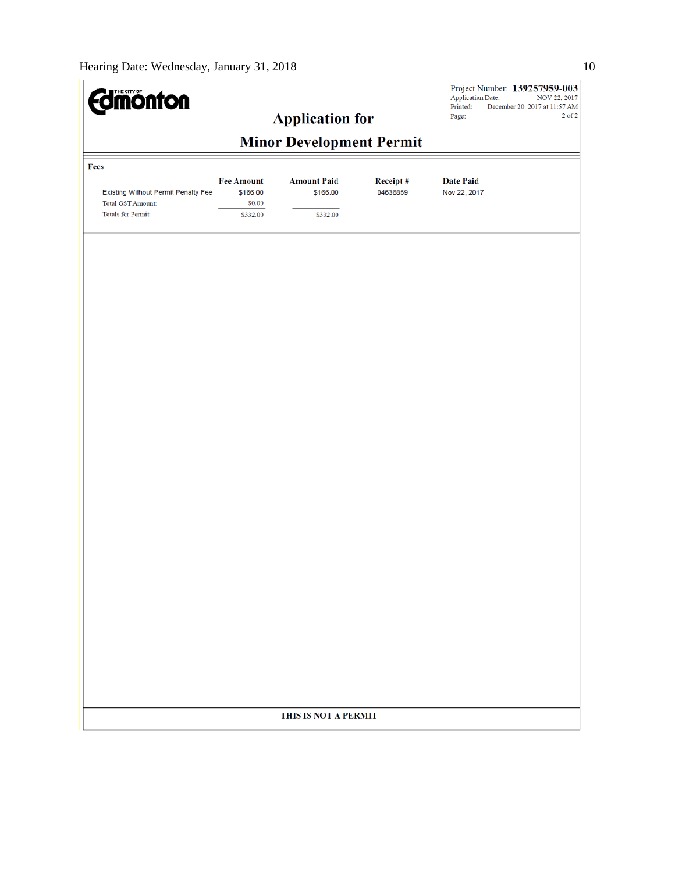| <b>Edmonton</b>                                                 |                                         |                                |                      | Project Number: 139257959-003<br><b>Application Date:</b><br>NOV 22, 2017<br>December 20, 2017 at 11:57 AM<br>Printed: |  |  |  |
|-----------------------------------------------------------------|-----------------------------------------|--------------------------------|----------------------|------------------------------------------------------------------------------------------------------------------------|--|--|--|
|                                                                 | <b>Application for</b>                  |                                |                      | $2$ of $2$<br>Page:                                                                                                    |  |  |  |
| <b>Minor Development Permit</b>                                 |                                         |                                |                      |                                                                                                                        |  |  |  |
| Fees                                                            |                                         |                                |                      |                                                                                                                        |  |  |  |
| Existing Without Permit Penalty Fee<br><b>Total GST Amount:</b> | <b>Fee Amount</b><br>\$166.00<br>\$0.00 | <b>Amount Paid</b><br>\$166.00 | Receipt#<br>04636859 | <b>Date Paid</b><br>Nov 22, 2017                                                                                       |  |  |  |
| <b>Totals for Permit:</b>                                       | \$332.00                                | \$332.00                       |                      |                                                                                                                        |  |  |  |
|                                                                 |                                         |                                |                      |                                                                                                                        |  |  |  |
|                                                                 |                                         |                                |                      |                                                                                                                        |  |  |  |
|                                                                 |                                         |                                |                      |                                                                                                                        |  |  |  |
|                                                                 |                                         |                                |                      |                                                                                                                        |  |  |  |
|                                                                 |                                         |                                |                      |                                                                                                                        |  |  |  |
|                                                                 |                                         |                                |                      |                                                                                                                        |  |  |  |
|                                                                 |                                         |                                |                      |                                                                                                                        |  |  |  |
|                                                                 |                                         |                                |                      |                                                                                                                        |  |  |  |
|                                                                 |                                         |                                |                      |                                                                                                                        |  |  |  |
|                                                                 |                                         |                                |                      |                                                                                                                        |  |  |  |
|                                                                 |                                         |                                |                      |                                                                                                                        |  |  |  |
|                                                                 |                                         |                                |                      |                                                                                                                        |  |  |  |
|                                                                 |                                         |                                |                      |                                                                                                                        |  |  |  |
|                                                                 |                                         |                                |                      |                                                                                                                        |  |  |  |
|                                                                 |                                         |                                |                      |                                                                                                                        |  |  |  |
|                                                                 |                                         |                                |                      |                                                                                                                        |  |  |  |
|                                                                 |                                         |                                |                      |                                                                                                                        |  |  |  |
|                                                                 |                                         |                                |                      |                                                                                                                        |  |  |  |
|                                                                 |                                         |                                |                      |                                                                                                                        |  |  |  |
|                                                                 |                                         |                                |                      |                                                                                                                        |  |  |  |
|                                                                 |                                         |                                |                      |                                                                                                                        |  |  |  |
|                                                                 |                                         | THIS IS NOT A PERMIT           |                      |                                                                                                                        |  |  |  |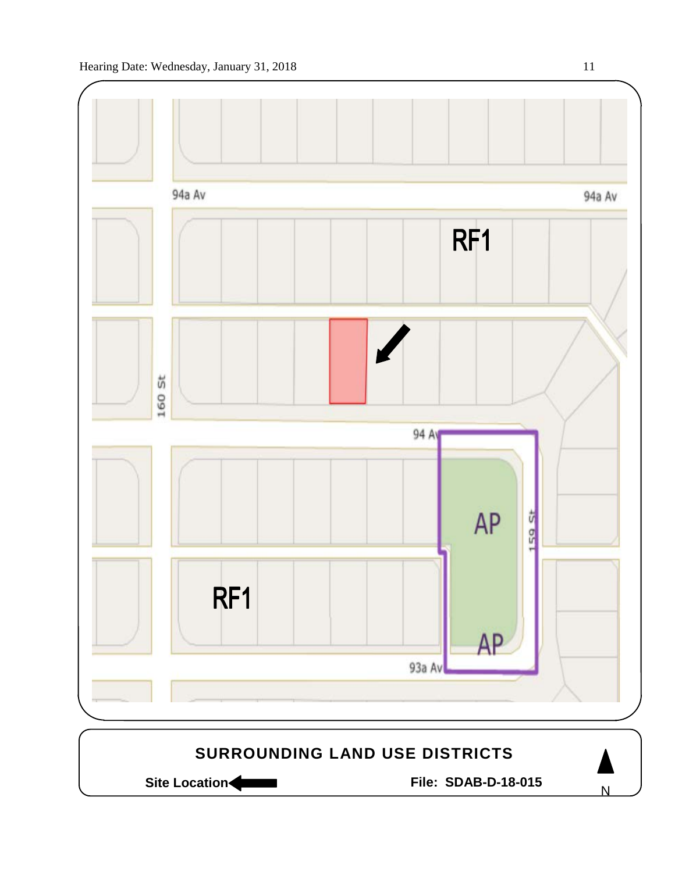

Site Location **Community Contracts** File: SDAB-D-18-015

N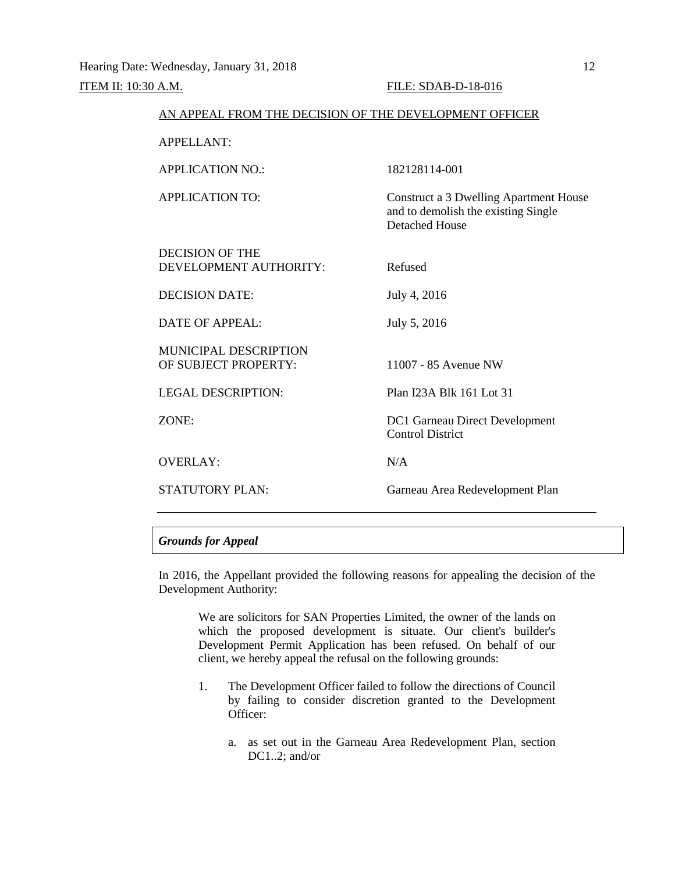| AN APPEAL FROM THE DECISION OF THE DEVELOPMENT OFFICER |                                                                                                               |
|--------------------------------------------------------|---------------------------------------------------------------------------------------------------------------|
| <b>APPELLANT:</b>                                      |                                                                                                               |
| <b>APPLICATION NO.:</b>                                | 182128114-001                                                                                                 |
| <b>APPLICATION TO:</b>                                 | <b>Construct a 3 Dwelling Apartment House</b><br>and to demolish the existing Single<br><b>Detached House</b> |
| <b>DECISION OF THE</b><br>DEVELOPMENT AUTHORITY:       | Refused                                                                                                       |
| <b>DECISION DATE:</b>                                  | July 4, 2016                                                                                                  |
| DATE OF APPEAL:                                        | July 5, 2016                                                                                                  |
| <b>MUNICIPAL DESCRIPTION</b><br>OF SUBJECT PROPERTY:   | 11007 - 85 Avenue NW                                                                                          |
| <b>LEGAL DESCRIPTION:</b>                              | Plan I23A Blk 161 Lot 31                                                                                      |
| ZONE:                                                  | <b>DC1 Garneau Direct Development</b><br><b>Control District</b>                                              |
| <b>OVERLAY:</b>                                        | N/A                                                                                                           |
| <b>STATUTORY PLAN:</b>                                 | Garneau Area Redevelopment Plan                                                                               |

# *Grounds for Appeal*

In 2016, the Appellant provided the following reasons for appealing the decision of the Development Authority:

We are solicitors for SAN Properties Limited, the owner of the lands on which the proposed development is situate. Our client's builder's Development Permit Application has been refused. On behalf of our client, we hereby appeal the refusal on the following grounds:

- 1. The Development Officer failed to follow the directions of Council by failing to consider discretion granted to the Development Officer:
	- a. as set out in the Garneau Area Redevelopment Plan, section DC1..2; and/or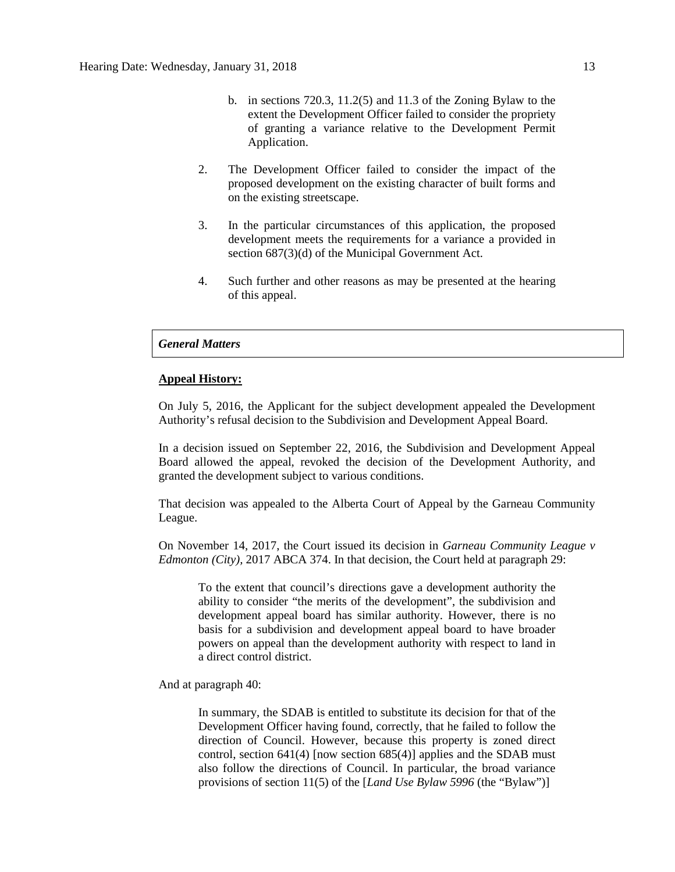- b. in sections 720.3, 11.2(5) and 11.3 of the Zoning Bylaw to the extent the Development Officer failed to consider the propriety of granting a variance relative to the Development Permit Application.
- 2. The Development Officer failed to consider the impact of the proposed development on the existing character of built forms and on the existing streetscape.
- 3. In the particular circumstances of this application, the proposed development meets the requirements for a variance a provided in section 687(3)(d) of the Municipal Government Act.
- 4. Such further and other reasons as may be presented at the hearing of this appeal.

# *General Matters*

### **Appeal History:**

On July 5, 2016, the Applicant for the subject development appealed the Development Authority's refusal decision to the Subdivision and Development Appeal Board.

In a decision issued on September 22, 2016, the Subdivision and Development Appeal Board allowed the appeal, revoked the decision of the Development Authority, and granted the development subject to various conditions.

That decision was appealed to the Alberta Court of Appeal by the Garneau Community League.

On November 14, 2017, the Court issued its decision in *Garneau Community League v Edmonton (City),* 2017 ABCA 374. In that decision, the Court held at paragraph 29:

To the extent that council's directions gave a development authority the ability to consider "the merits of the development", the subdivision and development appeal board has similar authority. However, there is no basis for a subdivision and development appeal board to have broader powers on appeal than the development authority with respect to land in a direct control district.

And at paragraph 40:

In summary, the SDAB is entitled to substitute its decision for that of the Development Officer having found, correctly, that he failed to follow the direction of Council. However, because this property is zoned direct control, section 641(4) [now section 685(4)] applies and the SDAB must also follow the directions of Council. In particular, the broad variance provisions of section 11(5) of the [*Land Use Bylaw 5996* (the "Bylaw")]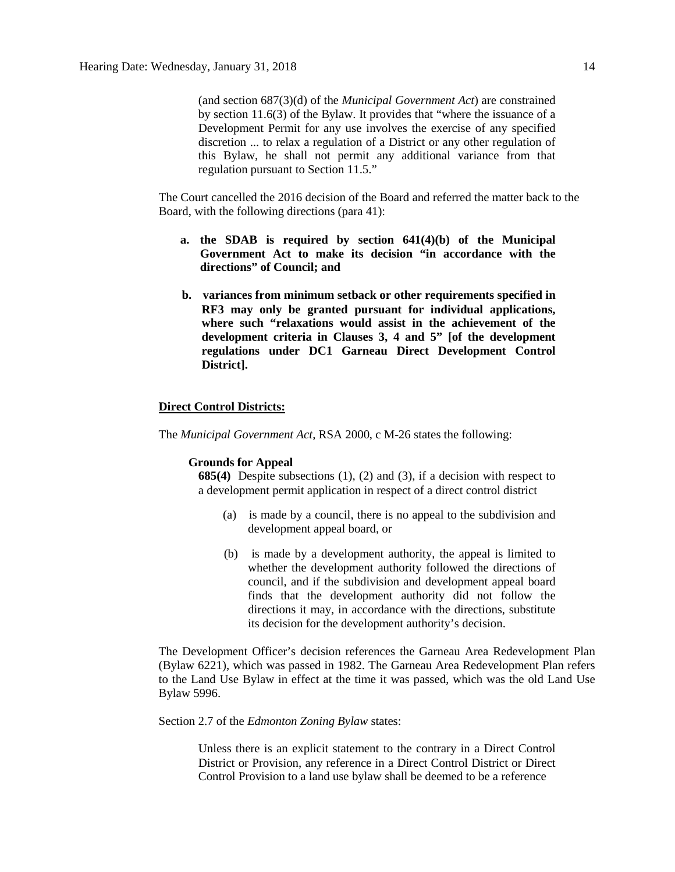(and section 687(3)(d) of the *Municipal Government Act*) are constrained by section 11.6(3) of the Bylaw. It provides that "where the issuance of a Development Permit for any use involves the exercise of any specified discretion ... to relax a regulation of a District or any other regulation of this Bylaw, he shall not permit any additional variance from that regulation pursuant to Section 11.5."

The Court cancelled the 2016 decision of the Board and referred the matter back to the Board, with the following directions (para 41):

- **a. the SDAB is required by section 641(4)(b) of the Municipal Government Act to make its decision "in accordance with the directions" of Council; and**
- **b. variances from minimum setback or other requirements specified in RF3 may only be granted pursuant for individual applications, where such "relaxations would assist in the achievement of the development criteria in Clauses 3, 4 and 5" [of the development regulations under DC1 Garneau Direct Development Control District].**

### **Direct Control Districts:**

The *Municipal Government Act*, RSA 2000, c M-26 states the following:

### **Grounds for Appeal**

**685(4)** Despite subsections (1), (2) and (3), if a decision with respect to a development permit application in respect of a direct control district

- (a) is made by a council, there is no appeal to the subdivision and development appeal board, or
- (b) is made by a development authority, the appeal is limited to whether the development authority followed the directions of council, and if the subdivision and development appeal board finds that the development authority did not follow the directions it may, in accordance with the directions, substitute its decision for the development authority's decision.

The Development Officer's decision references the Garneau Area Redevelopment Plan (Bylaw 6221), which was passed in 1982. The Garneau Area Redevelopment Plan refers to the Land Use Bylaw in effect at the time it was passed, which was the old Land Use Bylaw 5996.

### Section 2.7 of the *Edmonton Zoning Bylaw* states:

Unless there is an explicit statement to the contrary in a Direct Control District or Provision, any reference in a Direct Control District or Direct Control Provision to a land use bylaw shall be deemed to be a reference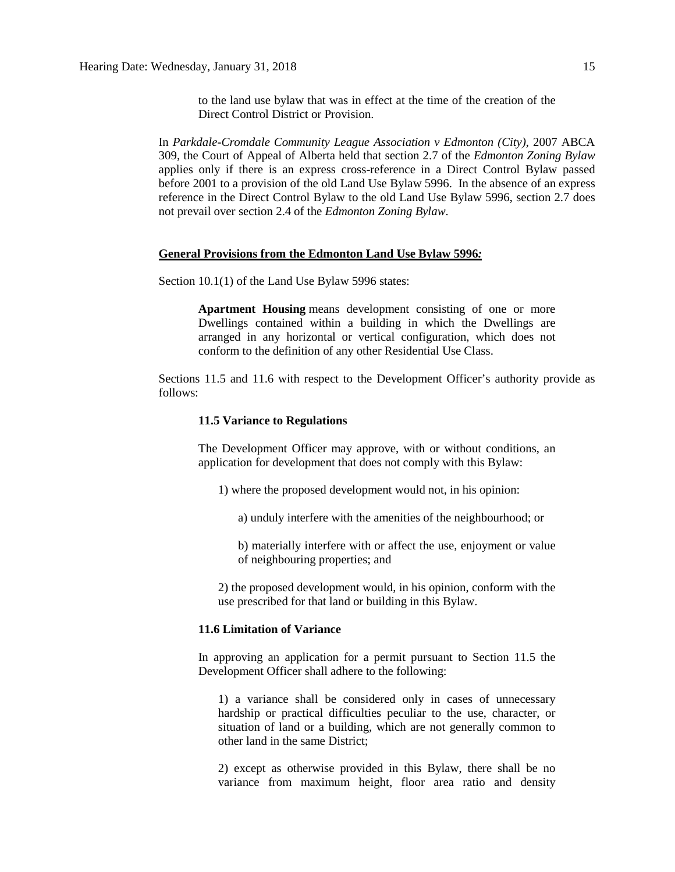to the land use bylaw that was in effect at the time of the creation of the Direct Control District or Provision.

In *Parkdale-Cromdale Community League Association v Edmonton (City)*, 2007 ABCA 309, the Court of Appeal of Alberta held that section 2.7 of the *Edmonton Zoning Bylaw* applies only if there is an express cross-reference in a Direct Control Bylaw passed before 2001 to a provision of the old Land Use Bylaw 5996. In the absence of an express reference in the Direct Control Bylaw to the old Land Use Bylaw 5996, section 2.7 does not prevail over section 2.4 of the *Edmonton Zoning Bylaw*.

# **General Provisions from the Edmonton Land Use Bylaw 5996***:*

Section 10.1(1) of the Land Use Bylaw 5996 states:

**Apartment Housing** means development consisting of one or more Dwellings contained within a building in which the Dwellings are arranged in any horizontal or vertical configuration, which does not conform to the definition of any other Residential Use Class.

Sections 11.5 and 11.6 with respect to the Development Officer's authority provide as follows:

## **11.5 Variance to Regulations**

The Development Officer may approve, with or without conditions, an application for development that does not comply with this Bylaw:

1) where the proposed development would not, in his opinion:

a) unduly interfere with the amenities of the neighbourhood; or

b) materially interfere with or affect the use, enjoyment or value of neighbouring properties; and

2) the proposed development would, in his opinion, conform with the use prescribed for that land or building in this Bylaw.

# **11.6 Limitation of Variance**

In approving an application for a permit pursuant to Section 11.5 the Development Officer shall adhere to the following:

1) a variance shall be considered only in cases of unnecessary hardship or practical difficulties peculiar to the use, character, or situation of land or a building, which are not generally common to other land in the same District;

2) except as otherwise provided in this Bylaw, there shall be no variance from maximum height, floor area ratio and density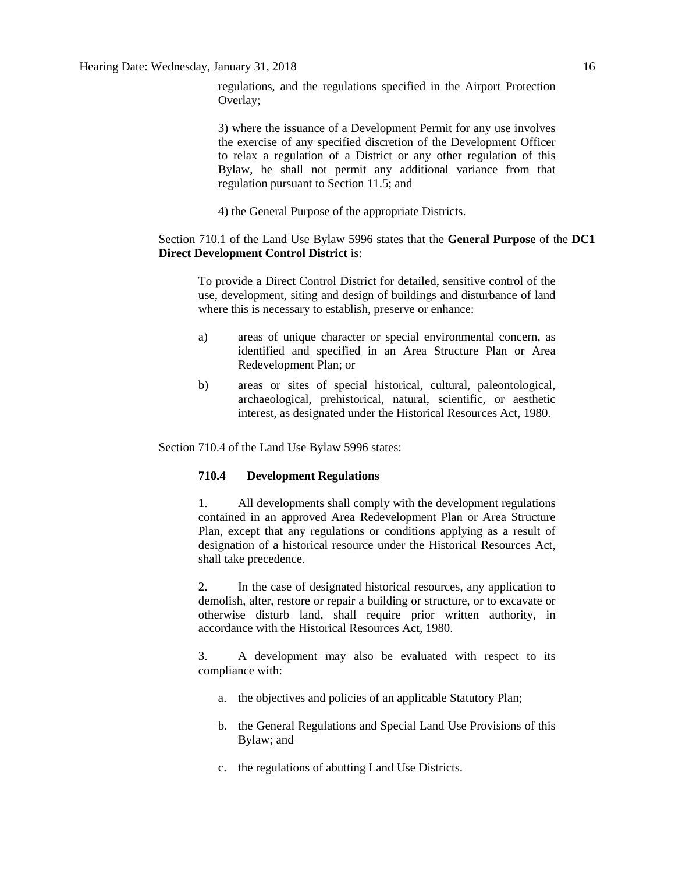3) where the issuance of a Development Permit for any use involves the exercise of any specified discretion of the Development Officer to relax a regulation of a District or any other regulation of this Bylaw, he shall not permit any additional variance from that regulation pursuant to Section 11.5; and

4) the General Purpose of the appropriate Districts.

# Section 710.1 of the Land Use Bylaw 5996 states that the **General Purpose** of the **DC1 Direct Development Control District** is:

To provide a Direct Control District for detailed, sensitive control of the use, development, siting and design of buildings and disturbance of land where this is necessary to establish, preserve or enhance:

- a) areas of unique character or special environmental concern, as identified and specified in an Area Structure Plan or Area Redevelopment Plan; or
- b) areas or sites of special historical, cultural, paleontological, archaeological, prehistorical, natural, scientific, or aesthetic interest, as designated under the Historical Resources Act, 1980.

Section 710.4 of the Land Use Bylaw 5996 states:

# **710.4 Development Regulations**

1. All developments shall comply with the development regulations contained in an approved Area Redevelopment Plan or Area Structure Plan, except that any regulations or conditions applying as a result of designation of a historical resource under the Historical Resources Act, shall take precedence.

2. In the case of designated historical resources, any application to demolish, alter, restore or repair a building or structure, or to excavate or otherwise disturb land, shall require prior written authority, in accordance with the Historical Resources Act, 1980.

3. A development may also be evaluated with respect to its compliance with:

- a. the objectives and policies of an applicable Statutory Plan;
- b. the General Regulations and Special Land Use Provisions of this Bylaw; and
- c. the regulations of abutting Land Use Districts.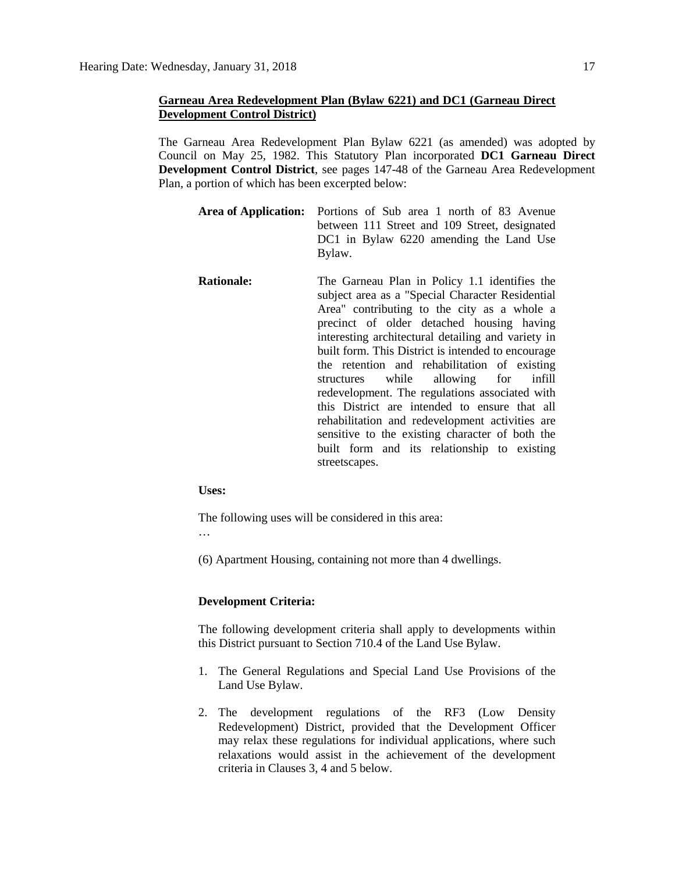# **Garneau Area Redevelopment Plan (Bylaw 6221) and DC1 (Garneau Direct Development Control District)**

The Garneau Area Redevelopment Plan Bylaw 6221 (as amended) was adopted by Council on May 25, 1982. This Statutory Plan incorporated **DC1 Garneau Direct Development Control District**, see pages 147-48 of the Garneau Area Redevelopment Plan, a portion of which has been excerpted below:

- **Area of Application:** Portions of Sub area 1 north of 83 Avenue between 111 Street and 109 Street, designated DC1 in Bylaw 6220 amending the Land Use Bylaw.
- **Rationale:** The Garneau Plan in Policy 1.1 identifies the subject area as a "Special Character Residential Area" contributing to the city as a whole a precinct of older detached housing having interesting architectural detailing and variety in built form. This District is intended to encourage the retention and rehabilitation of existing structures while allowing for infill redevelopment. The regulations associated with this District are intended to ensure that all rehabilitation and redevelopment activities are sensitive to the existing character of both the built form and its relationship to existing streetscapes.

**Uses:**

The following uses will be considered in this area:

…

(6) Apartment Housing, containing not more than 4 dwellings.

## **Development Criteria:**

The following development criteria shall apply to developments within this District pursuant to Section 710.4 of the Land Use Bylaw.

- 1. The General Regulations and Special Land Use Provisions of the Land Use Bylaw.
- 2. The development regulations of the RF3 (Low Density Redevelopment) District, provided that the Development Officer may relax these regulations for individual applications, where such relaxations would assist in the achievement of the development criteria in Clauses 3, 4 and 5 below.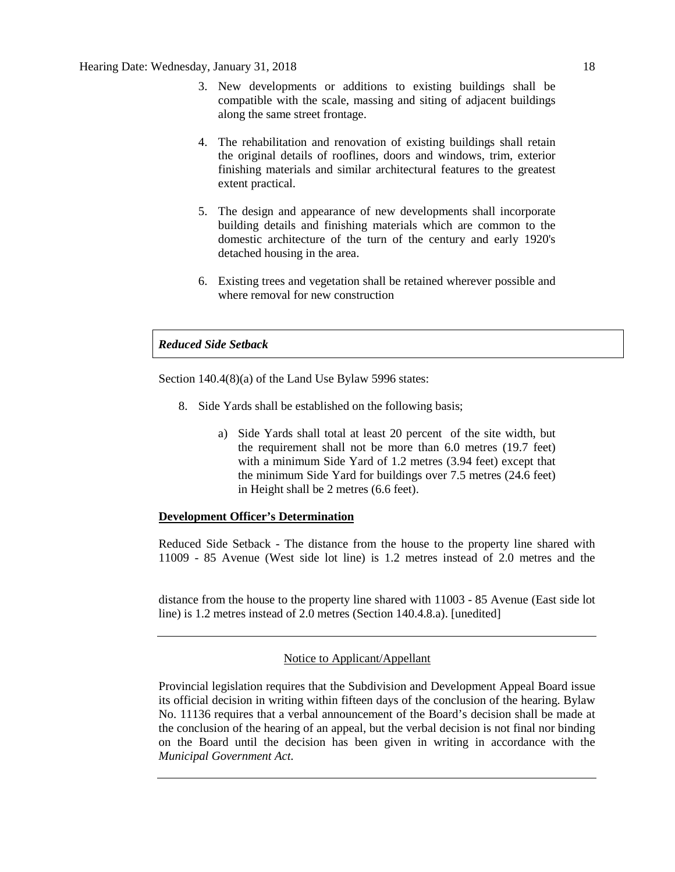- 3. New developments or additions to existing buildings shall be compatible with the scale, massing and siting of adjacent buildings along the same street frontage.
- 4. The rehabilitation and renovation of existing buildings shall retain the original details of rooflines, doors and windows, trim, exterior finishing materials and similar architectural features to the greatest extent practical.
- 5. The design and appearance of new developments shall incorporate building details and finishing materials which are common to the domestic architecture of the turn of the century and early 1920's detached housing in the area.
- 6. Existing trees and vegetation shall be retained wherever possible and where removal for new construction

# *Reduced Side Setback*

Section 140.4(8)(a) of the Land Use Bylaw 5996 states:

- 8. Side Yards shall be established on the following basis;
	- a) Side Yards shall total at least 20 percent of the site width, but the requirement shall not be more than 6.0 metres (19.7 feet) with a minimum Side Yard of 1.2 metres (3.94 feet) except that the minimum Side Yard for buildings over 7.5 metres (24.6 feet) in Height shall be 2 metres (6.6 feet).

# **Development Officer's Determination**

Reduced Side Setback - The distance from the house to the property line shared with 11009 - 85 Avenue (West side lot line) is 1.2 metres instead of 2.0 metres and the

distance from the house to the property line shared with 11003 - 85 Avenue (East side lot line) is 1.2 metres instead of 2.0 metres (Section 140.4.8.a). [unedited]

# Notice to Applicant/Appellant

Provincial legislation requires that the Subdivision and Development Appeal Board issue its official decision in writing within fifteen days of the conclusion of the hearing. Bylaw No. 11136 requires that a verbal announcement of the Board's decision shall be made at the conclusion of the hearing of an appeal, but the verbal decision is not final nor binding on the Board until the decision has been given in writing in accordance with the *Municipal Government Act.*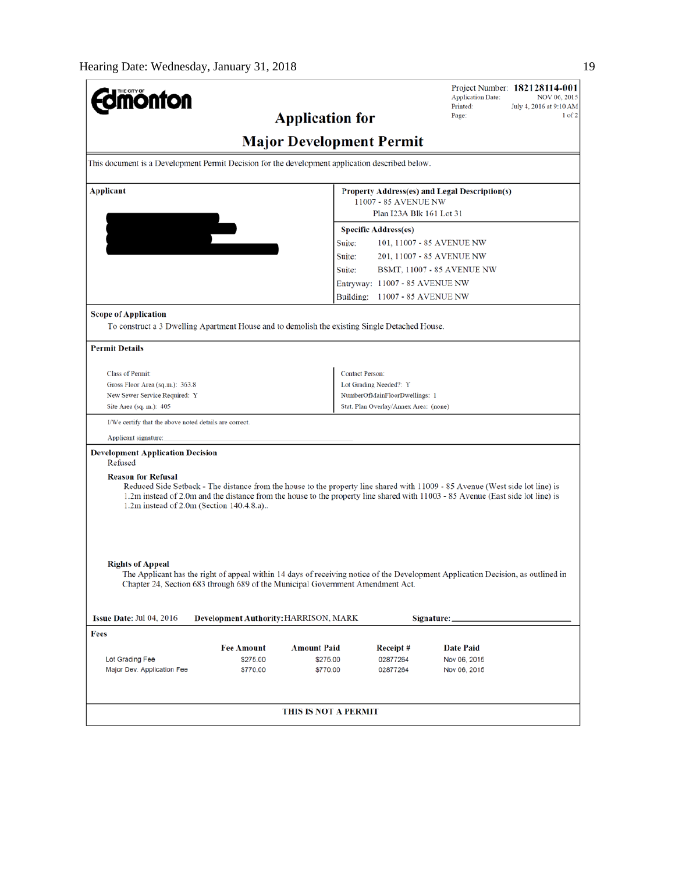| <b>mönton</b>                                                                                   |                                     |                                                                                |                                       | Project Number: 182128114-001<br><b>Application Date:</b>                                                                                                                                                                                                        | NOV 06, 2015 |  |  |
|-------------------------------------------------------------------------------------------------|-------------------------------------|--------------------------------------------------------------------------------|---------------------------------------|------------------------------------------------------------------------------------------------------------------------------------------------------------------------------------------------------------------------------------------------------------------|--------------|--|--|
|                                                                                                 | Printed:<br>July 4, 2016 at 9:10 AM |                                                                                |                                       |                                                                                                                                                                                                                                                                  |              |  |  |
|                                                                                                 | <b>Application for</b>              | Page:                                                                          | $1$ of $2$                            |                                                                                                                                                                                                                                                                  |              |  |  |
| <b>Major Development Permit</b>                                                                 |                                     |                                                                                |                                       |                                                                                                                                                                                                                                                                  |              |  |  |
| This document is a Development Permit Decision for the development application described below. |                                     |                                                                                |                                       |                                                                                                                                                                                                                                                                  |              |  |  |
| Applicant<br>Property Address(es) and Legal Description(s)                                      |                                     |                                                                                |                                       |                                                                                                                                                                                                                                                                  |              |  |  |
|                                                                                                 |                                     | 11007 - 85 AVENUE NW<br>Plan I23A Blk 161 Lot 31                               |                                       |                                                                                                                                                                                                                                                                  |              |  |  |
|                                                                                                 |                                     |                                                                                |                                       |                                                                                                                                                                                                                                                                  |              |  |  |
|                                                                                                 |                                     |                                                                                | <b>Specific Address(es)</b>           |                                                                                                                                                                                                                                                                  |              |  |  |
|                                                                                                 |                                     | Suite:                                                                         |                                       | 101, 11007 - 85 AVENUE NW                                                                                                                                                                                                                                        |              |  |  |
|                                                                                                 |                                     | Suite:                                                                         |                                       | 201, 11007 - 85 AVENUE NW                                                                                                                                                                                                                                        |              |  |  |
|                                                                                                 |                                     | Suite:                                                                         |                                       | <b>BSMT, 11007 - 85 AVENUE NW</b>                                                                                                                                                                                                                                |              |  |  |
|                                                                                                 |                                     |                                                                                | Entryway: 11007 - 85 AVENUE NW        |                                                                                                                                                                                                                                                                  |              |  |  |
|                                                                                                 |                                     | Building:                                                                      | 11007 - 85 AVENUE NW                  |                                                                                                                                                                                                                                                                  |              |  |  |
| <b>Scope of Application</b>                                                                     |                                     |                                                                                |                                       |                                                                                                                                                                                                                                                                  |              |  |  |
| To construct a 3 Dwelling Apartment House and to demolish the existing Single Detached House.   |                                     |                                                                                |                                       |                                                                                                                                                                                                                                                                  |              |  |  |
|                                                                                                 |                                     |                                                                                |                                       |                                                                                                                                                                                                                                                                  |              |  |  |
| <b>Permit Details</b>                                                                           |                                     |                                                                                |                                       |                                                                                                                                                                                                                                                                  |              |  |  |
| <b>Class of Permit:</b>                                                                         |                                     | <b>Contact Person:</b>                                                         |                                       |                                                                                                                                                                                                                                                                  |              |  |  |
| Gross Floor Area (sq.m.): 363.8                                                                 |                                     |                                                                                | Lot Grading Needed?: Y                |                                                                                                                                                                                                                                                                  |              |  |  |
| New Sewer Service Required: Y                                                                   |                                     |                                                                                | NumberOfMainFloorDwellings: 1         |                                                                                                                                                                                                                                                                  |              |  |  |
| Site Area (sq. m.): 405                                                                         |                                     |                                                                                | Stat. Plan Overlay/Annex Area: (none) |                                                                                                                                                                                                                                                                  |              |  |  |
| I/We certify that the above noted details are correct.                                          |                                     |                                                                                |                                       |                                                                                                                                                                                                                                                                  |              |  |  |
| Applicant signature:                                                                            |                                     |                                                                                |                                       |                                                                                                                                                                                                                                                                  |              |  |  |
| <b>Development Application Decision</b><br>Refused                                              |                                     |                                                                                |                                       |                                                                                                                                                                                                                                                                  |              |  |  |
| <b>Reason for Refusal</b><br>1.2m instead of 2.0m (Section 140.4.8.a)                           |                                     |                                                                                |                                       | Reduced Side Setback - The distance from the house to the property line shared with 11009 - 85 Avenue (West side lot line) is<br>1.2m instead of 2.0m and the distance from the house to the property line shared with 11003 - 85 Avenue (East side lot line) is |              |  |  |
| <b>Rights of Appeal</b>                                                                         |                                     | Chapter 24, Section 683 through 689 of the Municipal Government Amendment Act. |                                       | The Applicant has the right of appeal within 14 days of receiving notice of the Development Application Decision, as outlined in                                                                                                                                 |              |  |  |
| Issue Date: Jul 04, 2016                                                                        |                                     | Development Authority: HARRISON, MARK                                          |                                       | Signature: _                                                                                                                                                                                                                                                     |              |  |  |
| Fees                                                                                            |                                     |                                                                                |                                       |                                                                                                                                                                                                                                                                  |              |  |  |
|                                                                                                 | <b>Fee Amount</b>                   | <b>Amount Paid</b>                                                             | Receipt#                              | <b>Date Paid</b>                                                                                                                                                                                                                                                 |              |  |  |
| Lot Grading Fee                                                                                 | \$275.00                            | \$275.00                                                                       | 02877264                              | Nov 06, 2015                                                                                                                                                                                                                                                     |              |  |  |
| Major Dev. Application Fee                                                                      | \$770.00                            | \$770.00                                                                       | 02877264                              | Nov 06, 2015                                                                                                                                                                                                                                                     |              |  |  |
|                                                                                                 |                                     |                                                                                |                                       |                                                                                                                                                                                                                                                                  |              |  |  |
|                                                                                                 |                                     | THIS IS NOT A PERMIT                                                           |                                       |                                                                                                                                                                                                                                                                  |              |  |  |
|                                                                                                 |                                     |                                                                                |                                       |                                                                                                                                                                                                                                                                  |              |  |  |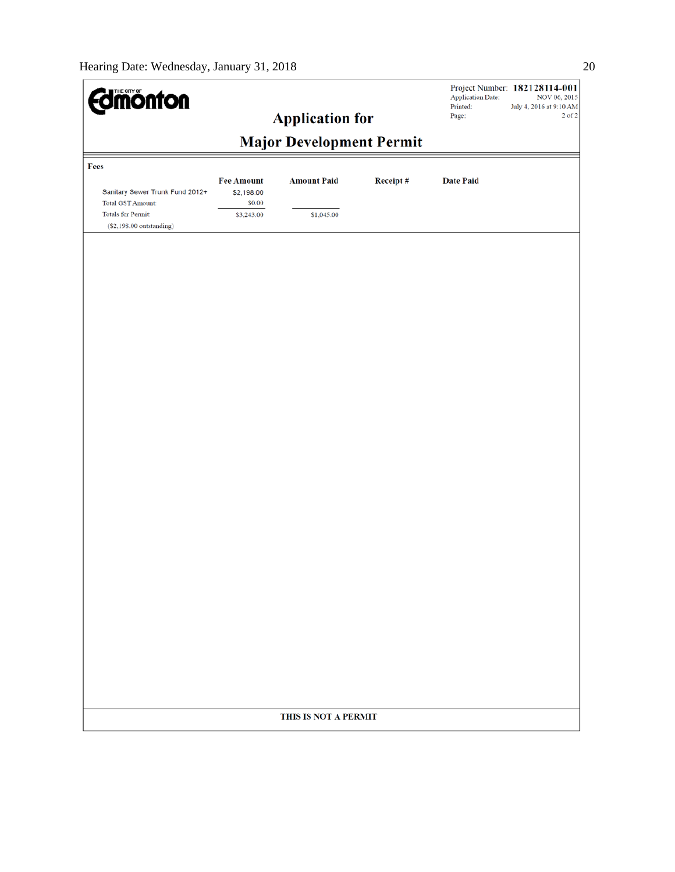| <b>dmönton</b>                                              |                                           |                        |          | <b>Application Date:</b><br>Printed: | Project Number: 182128114-001<br>NOV 06, 2015<br>July 4, 2016 at 9:10 AM |  |  |
|-------------------------------------------------------------|-------------------------------------------|------------------------|----------|--------------------------------------|--------------------------------------------------------------------------|--|--|
|                                                             |                                           | <b>Application for</b> |          | Page:                                | $2$ of $2$                                                               |  |  |
| <b>Major Development Permit</b>                             |                                           |                        |          |                                      |                                                                          |  |  |
| Fees                                                        |                                           |                        |          |                                      |                                                                          |  |  |
| Sanitary Sewer Trunk Fund 2012+<br><b>Total GST Amount:</b> | <b>Fee Amount</b><br>\$2,198.00<br>\$0.00 | <b>Amount Paid</b>     | Receipt# | <b>Date Paid</b>                     |                                                                          |  |  |
| Totals for Permit:<br>$(S2, 198.00$ outstanding)            | \$3,243.00                                | \$1,045.00             |          |                                      |                                                                          |  |  |
|                                                             |                                           |                        |          |                                      |                                                                          |  |  |
|                                                             |                                           |                        |          |                                      |                                                                          |  |  |
|                                                             |                                           |                        |          |                                      |                                                                          |  |  |
|                                                             |                                           |                        |          |                                      |                                                                          |  |  |
|                                                             |                                           |                        |          |                                      |                                                                          |  |  |
|                                                             |                                           |                        |          |                                      |                                                                          |  |  |
|                                                             |                                           |                        |          |                                      |                                                                          |  |  |
|                                                             |                                           |                        |          |                                      |                                                                          |  |  |
|                                                             |                                           |                        |          |                                      |                                                                          |  |  |
|                                                             |                                           |                        |          |                                      |                                                                          |  |  |
|                                                             |                                           |                        |          |                                      |                                                                          |  |  |
|                                                             |                                           |                        |          |                                      |                                                                          |  |  |
|                                                             |                                           |                        |          |                                      |                                                                          |  |  |
|                                                             |                                           |                        |          |                                      |                                                                          |  |  |
|                                                             |                                           |                        |          |                                      |                                                                          |  |  |
|                                                             |                                           |                        |          |                                      |                                                                          |  |  |
|                                                             |                                           |                        |          |                                      |                                                                          |  |  |
|                                                             |                                           |                        |          |                                      |                                                                          |  |  |
|                                                             |                                           |                        |          |                                      |                                                                          |  |  |
|                                                             |                                           |                        |          |                                      |                                                                          |  |  |
|                                                             |                                           |                        |          |                                      |                                                                          |  |  |
|                                                             |                                           | THIS IS NOT A PERMIT   |          |                                      |                                                                          |  |  |